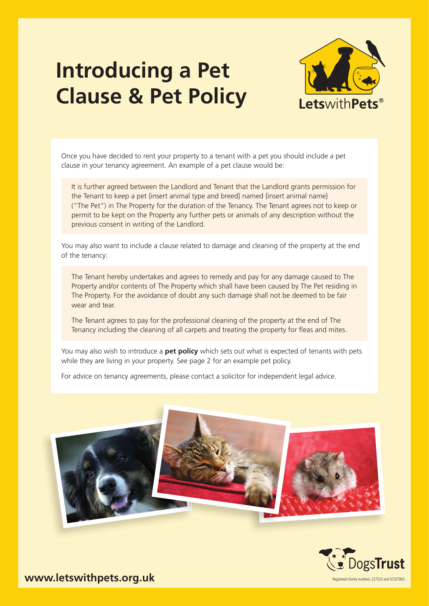## **Introducing a Pet Clause & Pet Policy**



Once you have decided to rent your property to a tenant with a pet you should include a pet clause in your tenancy agreement. An example of a pet clause would be:

It is further agreed between the Landlord and Tenant that the Landlord grants permission for the Tenant to keep a pet {insert animal type and breed} named {insert animal name} ("The Pet") in The Property for the duration of the Tenancy. The Tenant agrees not to keep or permit to be kept on the Property any further pets or animals of any description without the previous consent in writing of the Landlord.

You may also want to include a clause related to damage and cleaning of the property at the end of the tenancy:

The Tenant hereby undertakes and agrees to remedy and pay for any damage caused to The Property and/or contents of The Property which shall have been caused by The Pet residing in The Property. For the avoidance of doubt any such damage shall not be deemed to be fair wear and tear.

The Tenant agrees to pay for the professional cleaning of the property at the end of The Tenancy including the cleaning of all carpets and treating the property for fleas and mites.

You may also wish to introduce a **pet policy** which sets out what is expected of tenants with pets while they are living in your property. See page 2 for an example pet policy.

For advice on tenancy agreements, please contact a solicitor for independent legal advice.





**www.letswithpets.org.uk** Registered charity numbers: 227523 and SC037843